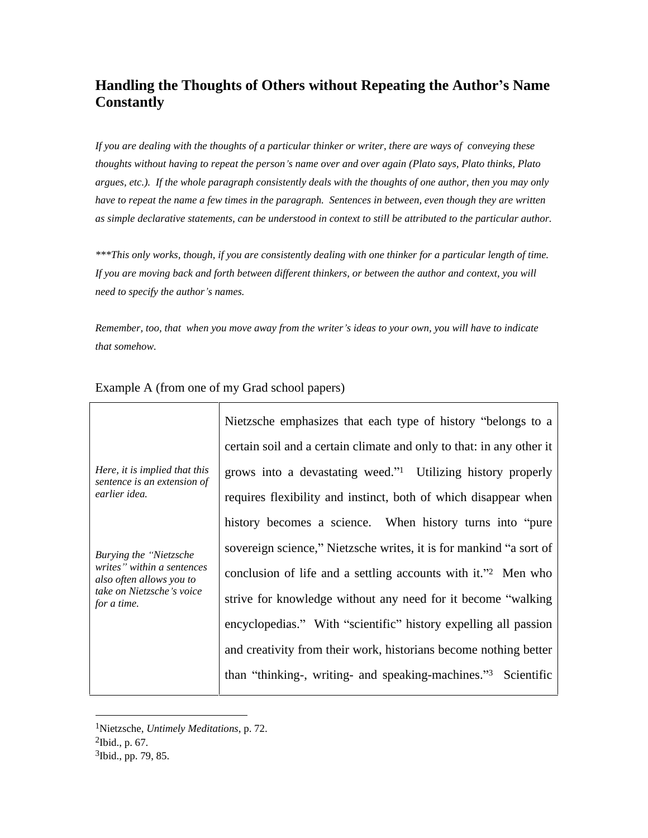## **Handling the Thoughts of Others without Repeating the Author s Name Constantly**

*If you are dealing with the thoughts of a particular thinker or writer, there are ways of conveying these thoughts without having to repeat the person s name over and over again (Plato says, Plato thinks, Plato argues, etc.). If the whole paragraph consistently deals with the thoughts of one author, then you may only have to repeat the name a few times in the paragraph. Sentences in between, even though they are written as simple declarative statements, can be understood in context to still be attributed to the particular author.* 

*\*\*\*This only works, though, if you are consistently dealing with one thinker for a particular length of time. If you are moving back and forth between different thinkers, or between the author and context, you will need to specify the author s names.*

*Remember, too, that when you move away from the writer s ideas to your own, you will have to indicate that somehow.* 

|                                                                                                                                      | Nietzsche emphasizes that each type of history "belongs to a                                                                  |
|--------------------------------------------------------------------------------------------------------------------------------------|-------------------------------------------------------------------------------------------------------------------------------|
|                                                                                                                                      | certain soil and a certain climate and only to that: in any other it                                                          |
| sentence is an extension of<br>earlier idea.                                                                                         | Here, it is implied that this $\parallel$ grows into a devastating weed." <sup>1</sup> Utilizing history properly $\parallel$ |
|                                                                                                                                      | requires flexibility and instinct, both of which disappear when                                                               |
|                                                                                                                                      | history becomes a science. When history turns into "pure"                                                                     |
| <b>Burying the "Nietzsche</b><br>writes" within a sentences<br>also often allows you to<br>take on Nietzsche 's voice<br>for a time. | sovereign science," Nietzsche writes, it is for mankind "a sort of                                                            |
|                                                                                                                                      | conclusion of life and a settling accounts with it." <sup>2</sup> Men who                                                     |
|                                                                                                                                      | strive for knowledge without any need for it become "walking"                                                                 |
|                                                                                                                                      | encyclopedias." With "scientific" history expelling all passion                                                               |
|                                                                                                                                      | and creativity from their work, historians become nothing better                                                              |
|                                                                                                                                      | than "thinking-, writing- and speaking-machines."3 Scientific                                                                 |
|                                                                                                                                      |                                                                                                                               |

## Example A (from one of my Grad school papers)

 $\frac{1}{1}$ Nietzsche *Untimely Meditations* p. 72 Nietzsche, *Untimely Meditations*, p. 72.  $2\text{Poid}$  n 67  $^{2}$ Ibid., p. 67.  $3\text{Jbid}$  pp  $79.85$ <sup>3</sup>Ibid., pp. 79, 85.